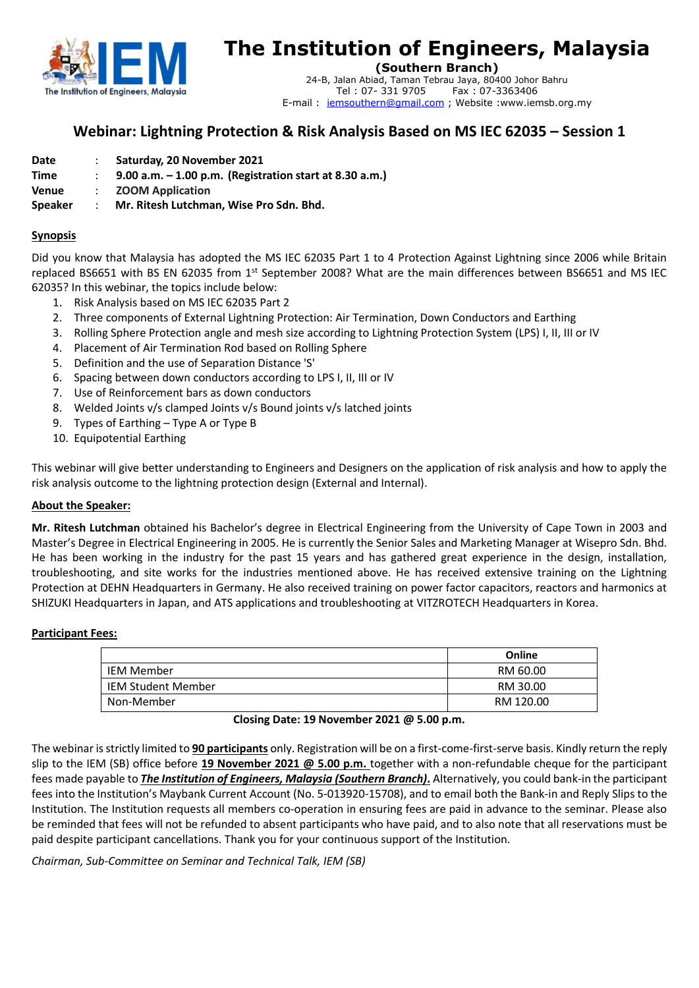

# **The Institution of Engineers, Malaysia**

**(Southern Branch)**

24-B, Jalan Abiad, Taman Tebrau Jaya, 80400 Johor Bahru Tel : 07- 331 9705 Fax : 07-3363406 E-mail : [iemsouthern@gmail.com](mailto:iemsouthern@gmail.com) ; Website :www.iemsb.org.my 

# **Webinar: Lightning Protection & Risk Analysis Based on MS IEC 62035 – Session 1**

| Saturday, 20 November 2021<br>Date |  |
|------------------------------------|--|
|------------------------------------|--|

- **Time** : **9.00 a.m. – 1.00 p.m. (Registration start at 8.30 a.m.)**
- **Venue** : **ZOOM Application**

**Speaker** : **Mr. Ritesh Lutchman, Wise Pro Sdn. Bhd.**

### **Synopsis**

Did you know that Malaysia has adopted the MS IEC 62035 Part 1 to 4 Protection Against Lightning since 2006 while Britain replaced BS6651 with BS EN 62035 from 1<sup>st</sup> September 2008? What are the main differences between BS6651 and MS IEC 62035? In this webinar, the topics include below:

- 1. Risk Analysis based on MS IEC 62035 Part 2
- 2. Three components of External Lightning Protection: Air Termination, Down Conductors and Earthing
- 3. Rolling Sphere Protection angle and mesh size according to Lightning Protection System (LPS) I, II, III or IV
- 4. Placement of Air Termination Rod based on Rolling Sphere
- 5. Definition and the use of Separation Distance 'S'
- 6. Spacing between down conductors according to LPS I, II, III or IV
- 7. Use of Reinforcement bars as down conductors
- 8. Welded Joints v/s clamped Joints v/s Bound joints v/s latched joints
- 9. Types of Earthing Type A or Type B
- 10. Equipotential Earthing

This webinar will give better understanding to Engineers and Designers on the application of risk analysis and how to apply the risk analysis outcome to the lightning protection design (External and Internal).

#### **About the Speaker:**

**Mr. Ritesh Lutchman** obtained his Bachelor's degree in Electrical Engineering from the University of Cape Town in 2003 and Master's Degree in Electrical Engineering in 2005. He is currently the Senior Sales and Marketing Manager at Wisepro Sdn. Bhd. He has been working in the industry for the past 15 years and has gathered great experience in the design, installation, troubleshooting, and site works for the industries mentioned above. He has received extensive training on the Lightning Protection at DEHN Headquarters in Germany. He also received training on power factor capacitors, reactors and harmonics at SHIZUKI Headquarters in Japan, and ATS applications and troubleshooting at VITZROTECH Headquarters in Korea.

#### **Participant Fees:**

|                           | Online    |
|---------------------------|-----------|
| IEM Member                | RM 60.00  |
| <b>IEM Student Member</b> | RM 30.00  |
| Non-Member                | RM 120.00 |

#### **Closing Date: 19 November 2021 @ 5.00 p.m.**

The webinar is strictly limited to **90 participants** only. Registration will be on a first-come-first-serve basis. Kindly return the reply slip to the IEM (SB) office before **19 November 2021 @ 5.00 p.m.** together with a non-refundable cheque for the participant fees made payable to *The Institution of Engineers, Malaysia (Southern Branch)***.** Alternatively, you could bank-in the participant fees into the Institution's Maybank Current Account (No. 5-013920-15708), and to email both the Bank-in and Reply Slips to the Institution. The Institution requests all members co-operation in ensuring fees are paid in advance to the seminar. Please also be reminded that fees will not be refunded to absent participants who have paid, and to also note that all reservations must be paid despite participant cancellations. Thank you for your continuous support of the Institution.

*Chairman, Sub-Committee on Seminar and Technical Talk, IEM (SB)*